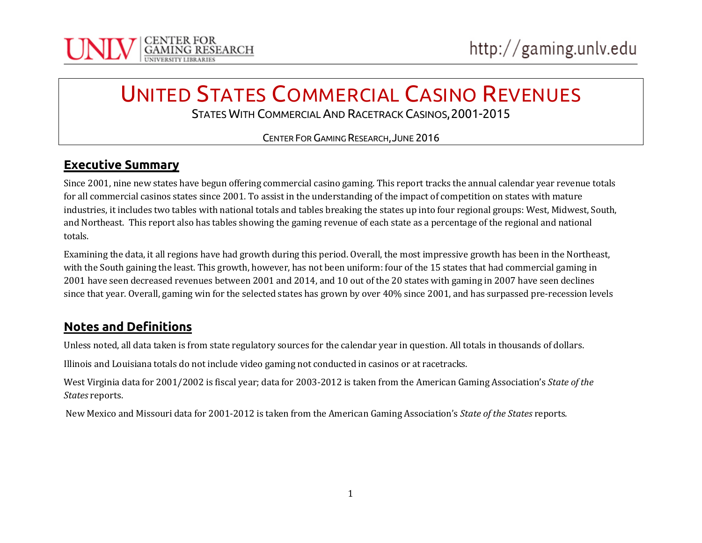

# UNITED STATES COMMERCIAL CASINO REVENUES STATES WITH COMMERCIAL AND RACETRACK CASINOS,2001-2015

CENTER FORGAMING RESEARCH,JUNE 2016

#### **Executive Summary**

Since 2001, nine new states have begun offering commercial casino gaming. This report tracks the annual calendar year revenue totals for all commercial casinos states since 2001. To assist in the understanding of the impact of competition on states with mature industries, it includes two tables with national totals and tables breaking the states up into four regional groups: West, Midwest, South, and Northeast. This report also has tables showing the gaming revenue of each state as a percentage of the regional and national totals.

Examining the data, it all regions have had growth during this period. Overall, the most impressive growth has been in the Northeast, with the South gaining the least. This growth, however, has not been uniform: four of the 15 states that had commercial gaming in 2001 have seen decreased revenues between 2001 and 2014, and 10 out of the 20 states with gaming in 2007 have seen declines since that year. Overall, gaming win for the selected states has grown by over 40% since 2001, and has surpassed pre-recession levels

#### **Notes and Definitions**

Unless noted, all data taken is from state regulatory sources for the calendar year in question. All totals in thousands of dollars.

Illinois and Louisiana totals do not include video gaming not conducted in casinos or at racetracks.

West Virginia data for 2001/2002 is fiscal year; data for 2003-2012 is taken from the American Gaming Association's *State of the States* reports.

New Mexico and Missouri data for 2001-2012 is taken from the American Gaming Association's *State of the States* reports.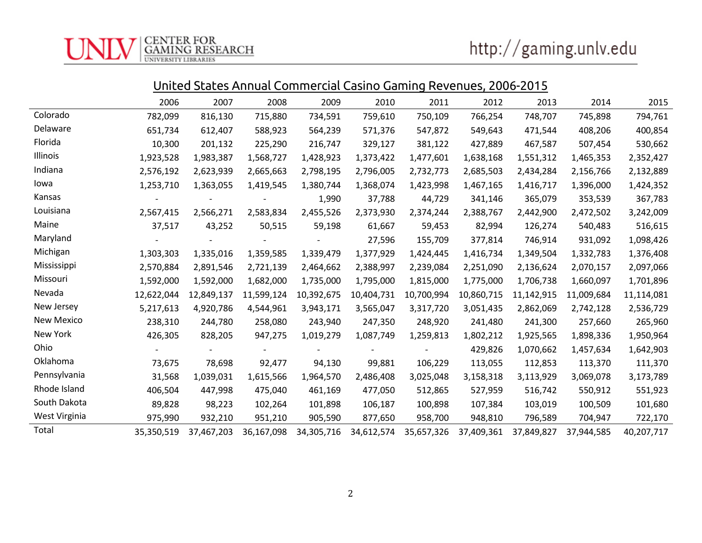| United States Annual Commercial Casino Gaming Revenues, 2006-2015 |
|-------------------------------------------------------------------|
|-------------------------------------------------------------------|

|               | 2006       | 2007       | 2008       | 2009       | 2010       | 2011       | 2012       | 2013       | 2014       | 2015       |
|---------------|------------|------------|------------|------------|------------|------------|------------|------------|------------|------------|
| Colorado      | 782,099    | 816,130    | 715,880    | 734,591    | 759,610    | 750,109    | 766,254    | 748,707    | 745,898    | 794,761    |
| Delaware      | 651,734    | 612,407    | 588,923    | 564,239    | 571,376    | 547,872    | 549,643    | 471,544    | 408,206    | 400,854    |
| Florida       | 10,300     | 201,132    | 225,290    | 216,747    | 329,127    | 381,122    | 427,889    | 467,587    | 507,454    | 530,662    |
| Illinois      | 1,923,528  | 1,983,387  | 1,568,727  | 1,428,923  | 1,373,422  | 1,477,601  | 1,638,168  | 1,551,312  | 1,465,353  | 2,352,427  |
| Indiana       | 2,576,192  | 2,623,939  | 2,665,663  | 2,798,195  | 2,796,005  | 2,732,773  | 2,685,503  | 2,434,284  | 2,156,766  | 2,132,889  |
| lowa          | 1,253,710  | 1,363,055  | 1,419,545  | 1,380,744  | 1,368,074  | 1,423,998  | 1,467,165  | 1,416,717  | 1,396,000  | 1,424,352  |
| Kansas        |            |            |            | 1,990      | 37,788     | 44,729     | 341,146    | 365,079    | 353,539    | 367,783    |
| Louisiana     | 2,567,415  | 2,566,271  | 2,583,834  | 2,455,526  | 2,373,930  | 2,374,244  | 2,388,767  | 2,442,900  | 2,472,502  | 3,242,009  |
| Maine         | 37,517     | 43,252     | 50,515     | 59,198     | 61,667     | 59,453     | 82,994     | 126,274    | 540,483    | 516,615    |
| Maryland      |            |            |            |            | 27,596     | 155,709    | 377,814    | 746,914    | 931,092    | 1,098,426  |
| Michigan      | 1,303,303  | 1,335,016  | 1,359,585  | 1,339,479  | 1,377,929  | 1,424,445  | 1,416,734  | 1,349,504  | 1,332,783  | 1,376,408  |
| Mississippi   | 2,570,884  | 2,891,546  | 2,721,139  | 2,464,662  | 2,388,997  | 2,239,084  | 2,251,090  | 2,136,624  | 2,070,157  | 2,097,066  |
| Missouri      | 1,592,000  | 1,592,000  | 1,682,000  | 1,735,000  | 1,795,000  | 1,815,000  | 1,775,000  | 1,706,738  | 1,660,097  | 1,701,896  |
| Nevada        | 12,622,044 | 12,849,137 | 11,599,124 | 10,392,675 | 10,404,731 | 10,700,994 | 10,860,715 | 11,142,915 | 11,009,684 | 11,114,081 |
| New Jersey    | 5,217,613  | 4,920,786  | 4,544,961  | 3,943,171  | 3,565,047  | 3,317,720  | 3,051,435  | 2,862,069  | 2,742,128  | 2,536,729  |
| New Mexico    | 238,310    | 244,780    | 258,080    | 243,940    | 247,350    | 248,920    | 241,480    | 241,300    | 257,660    | 265,960    |
| New York      | 426,305    | 828,205    | 947,275    | 1,019,279  | 1,087,749  | 1,259,813  | 1,802,212  | 1,925,565  | 1,898,336  | 1,950,964  |
| Ohio          |            |            |            |            |            |            | 429,826    | 1,070,662  | 1,457,634  | 1,642,903  |
| Oklahoma      | 73,675     | 78,698     | 92,477     | 94,130     | 99,881     | 106,229    | 113,055    | 112,853    | 113,370    | 111,370    |
| Pennsylvania  | 31,568     | 1,039,031  | 1,615,566  | 1,964,570  | 2,486,408  | 3,025,048  | 3,158,318  | 3,113,929  | 3,069,078  | 3,173,789  |
| Rhode Island  | 406,504    | 447,998    | 475,040    | 461,169    | 477,050    | 512,865    | 527,959    | 516,742    | 550,912    | 551,923    |
| South Dakota  | 89,828     | 98,223     | 102,264    | 101,898    | 106,187    | 100,898    | 107,384    | 103,019    | 100,509    | 101,680    |
| West Virginia | 975,990    | 932,210    | 951,210    | 905,590    | 877,650    | 958,700    | 948,810    | 796,589    | 704,947    | 722,170    |
| Total         | 35,350,519 | 37,467,203 | 36,167,098 | 34,305,716 | 34,612,574 | 35,657,326 | 37,409,361 | 37,849,827 | 37,944,585 | 40,207,717 |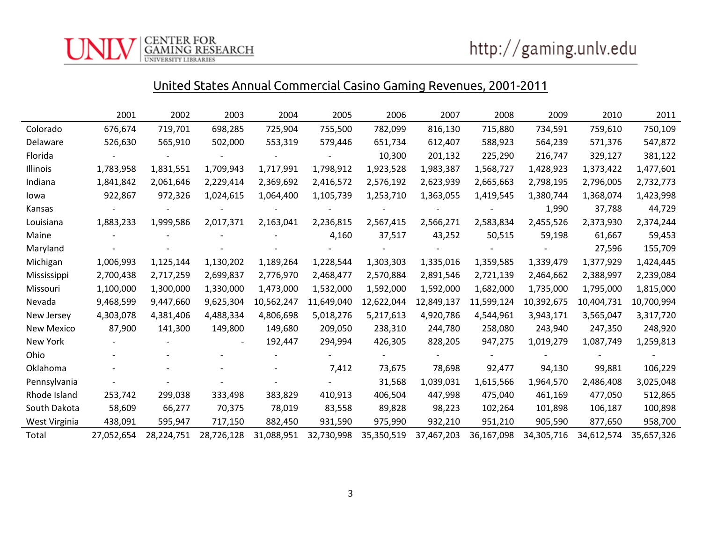CENTER FOR<br>GAMING RESEARCH<br><sup>UNIVERSITY LIBRARIES</sup>

# United States Annual Commercial Casino Gaming Revenues, 2001-2011

|                   | 2001       | 2002       | 2003       | 2004       | 2005       | 2006       | 2007       | 2008       | 2009       | 2010       | 2011       |
|-------------------|------------|------------|------------|------------|------------|------------|------------|------------|------------|------------|------------|
| Colorado          | 676,674    | 719,701    | 698,285    | 725,904    | 755,500    | 782,099    | 816,130    | 715,880    | 734,591    | 759,610    | 750,109    |
| Delaware          | 526,630    | 565,910    | 502,000    | 553,319    | 579,446    | 651,734    | 612,407    | 588,923    | 564,239    | 571,376    | 547,872    |
| Florida           |            |            |            |            |            | 10,300     | 201,132    | 225,290    | 216,747    | 329,127    | 381,122    |
| Illinois          | 1,783,958  | 1,831,551  | 1,709,943  | 1,717,991  | 1,798,912  | 1,923,528  | 1,983,387  | 1,568,727  | 1,428,923  | 1,373,422  | 1,477,601  |
| Indiana           | 1,841,842  | 2,061,646  | 2,229,414  | 2,369,692  | 2,416,572  | 2,576,192  | 2,623,939  | 2,665,663  | 2,798,195  | 2,796,005  | 2,732,773  |
| lowa              | 922,867    | 972,326    | 1,024,615  | 1,064,400  | 1,105,739  | 1,253,710  | 1,363,055  | 1,419,545  | 1,380,744  | 1,368,074  | 1,423,998  |
| Kansas            |            |            |            |            |            |            |            |            | 1,990      | 37,788     | 44,729     |
| Louisiana         | 1,883,233  | 1,999,586  | 2,017,371  | 2,163,041  | 2,236,815  | 2,567,415  | 2,566,271  | 2,583,834  | 2,455,526  | 2,373,930  | 2,374,244  |
| Maine             |            |            |            |            | 4,160      | 37,517     | 43,252     | 50,515     | 59,198     | 61,667     | 59,453     |
| Maryland          |            |            |            |            |            |            |            |            |            | 27,596     | 155,709    |
| Michigan          | 1,006,993  | 1,125,144  | 1,130,202  | 1,189,264  | 1,228,544  | 1,303,303  | 1,335,016  | 1,359,585  | 1,339,479  | 1,377,929  | 1,424,445  |
| Mississippi       | 2,700,438  | 2,717,259  | 2,699,837  | 2,776,970  | 2,468,477  | 2,570,884  | 2,891,546  | 2,721,139  | 2,464,662  | 2,388,997  | 2,239,084  |
| Missouri          | 1,100,000  | 1,300,000  | 1,330,000  | 1,473,000  | 1,532,000  | 1,592,000  | 1,592,000  | 1,682,000  | 1,735,000  | 1,795,000  | 1,815,000  |
| Nevada            | 9,468,599  | 9,447,660  | 9,625,304  | 10,562,247 | 11,649,040 | 12,622,044 | 12,849,137 | 11,599,124 | 10,392,675 | 10,404,731 | 10,700,994 |
| New Jersey        | 4,303,078  | 4,381,406  | 4,488,334  | 4,806,698  | 5,018,276  | 5,217,613  | 4,920,786  | 4,544,961  | 3,943,171  | 3,565,047  | 3,317,720  |
| <b>New Mexico</b> | 87,900     | 141,300    | 149,800    | 149,680    | 209,050    | 238,310    | 244,780    | 258,080    | 243,940    | 247,350    | 248,920    |
| New York          |            |            |            | 192,447    | 294,994    | 426,305    | 828,205    | 947,275    | 1,019,279  | 1,087,749  | 1,259,813  |
| Ohio              |            |            |            |            |            |            |            |            |            |            |            |
| Oklahoma          |            |            |            |            | 7,412      | 73,675     | 78,698     | 92,477     | 94,130     | 99,881     | 106,229    |
| Pennsylvania      |            |            |            |            |            | 31,568     | 1,039,031  | 1,615,566  | 1,964,570  | 2,486,408  | 3,025,048  |
| Rhode Island      | 253,742    | 299,038    | 333,498    | 383,829    | 410,913    | 406,504    | 447,998    | 475,040    | 461,169    | 477,050    | 512,865    |
| South Dakota      | 58,609     | 66,277     | 70,375     | 78,019     | 83,558     | 89,828     | 98,223     | 102,264    | 101,898    | 106,187    | 100,898    |
| West Virginia     | 438,091    | 595,947    | 717,150    | 882,450    | 931,590    | 975,990    | 932,210    | 951,210    | 905,590    | 877,650    | 958,700    |
| Total             | 27,052,654 | 28,224,751 | 28,726,128 | 31,088,951 | 32,730,998 | 35,350,519 | 37,467,203 | 36,167,098 | 34,305,716 | 34,612,574 | 35,657,326 |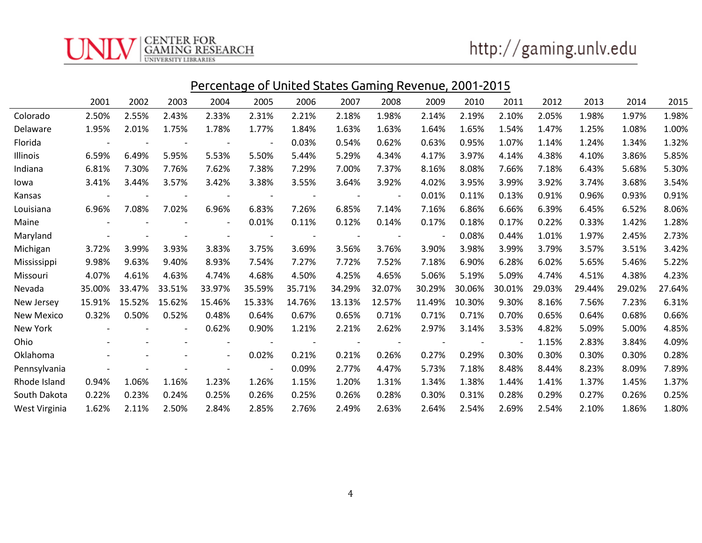CENTER FOR<br>GAMING RESEARCH<br><sup>UNIVERSITY LIBRARIES</sup>

|                   | <u>Percentage of United States Gaming Revenue, 2001-2015</u> |        |        |                          |                          |        |        |        |                          |        |        |        |        |        |        |
|-------------------|--------------------------------------------------------------|--------|--------|--------------------------|--------------------------|--------|--------|--------|--------------------------|--------|--------|--------|--------|--------|--------|
|                   | 2001                                                         | 2002   | 2003   | 2004                     | 2005                     | 2006   | 2007   | 2008   | 2009                     | 2010   | 2011   | 2012   | 2013   | 2014   | 2015   |
| Colorado          | 2.50%                                                        | 2.55%  | 2.43%  | 2.33%                    | 2.31%                    | 2.21%  | 2.18%  | 1.98%  | 2.14%                    | 2.19%  | 2.10%  | 2.05%  | 1.98%  | 1.97%  | 1.98%  |
| Delaware          | 1.95%                                                        | 2.01%  | 1.75%  | 1.78%                    | 1.77%                    | 1.84%  | 1.63%  | 1.63%  | 1.64%                    | 1.65%  | 1.54%  | 1.47%  | 1.25%  | 1.08%  | 1.00%  |
| Florida           |                                                              |        |        |                          |                          | 0.03%  | 0.54%  | 0.62%  | 0.63%                    | 0.95%  | 1.07%  | 1.14%  | 1.24%  | 1.34%  | 1.32%  |
| Illinois          | 6.59%                                                        | 6.49%  | 5.95%  | 5.53%                    | 5.50%                    | 5.44%  | 5.29%  | 4.34%  | 4.17%                    | 3.97%  | 4.14%  | 4.38%  | 4.10%  | 3.86%  | 5.85%  |
| Indiana           | 6.81%                                                        | 7.30%  | 7.76%  | 7.62%                    | 7.38%                    | 7.29%  | 7.00%  | 7.37%  | 8.16%                    | 8.08%  | 7.66%  | 7.18%  | 6.43%  | 5.68%  | 5.30%  |
| lowa              | 3.41%                                                        | 3.44%  | 3.57%  | 3.42%                    | 3.38%                    | 3.55%  | 3.64%  | 3.92%  | 4.02%                    | 3.95%  | 3.99%  | 3.92%  | 3.74%  | 3.68%  | 3.54%  |
| Kansas            |                                                              |        |        |                          |                          |        |        |        | 0.01%                    | 0.11%  | 0.13%  | 0.91%  | 0.96%  | 0.93%  | 0.91%  |
| Louisiana         | 6.96%                                                        | 7.08%  | 7.02%  | 6.96%                    | 6.83%                    | 7.26%  | 6.85%  | 7.14%  | 7.16%                    | 6.86%  | 6.66%  | 6.39%  | 6.45%  | 6.52%  | 8.06%  |
| Maine             |                                                              |        |        |                          | 0.01%                    | 0.11%  | 0.12%  | 0.14%  | 0.17%                    | 0.18%  | 0.17%  | 0.22%  | 0.33%  | 1.42%  | 1.28%  |
| Maryland          |                                                              |        |        |                          |                          |        |        |        | $\overline{\phantom{a}}$ | 0.08%  | 0.44%  | 1.01%  | 1.97%  | 2.45%  | 2.73%  |
| Michigan          | 3.72%                                                        | 3.99%  | 3.93%  | 3.83%                    | 3.75%                    | 3.69%  | 3.56%  | 3.76%  | 3.90%                    | 3.98%  | 3.99%  | 3.79%  | 3.57%  | 3.51%  | 3.42%  |
| Mississippi       | 9.98%                                                        | 9.63%  | 9.40%  | 8.93%                    | 7.54%                    | 7.27%  | 7.72%  | 7.52%  | 7.18%                    | 6.90%  | 6.28%  | 6.02%  | 5.65%  | 5.46%  | 5.22%  |
| Missouri          | 4.07%                                                        | 4.61%  | 4.63%  | 4.74%                    | 4.68%                    | 4.50%  | 4.25%  | 4.65%  | 5.06%                    | 5.19%  | 5.09%  | 4.74%  | 4.51%  | 4.38%  | 4.23%  |
| Nevada            | 35.00%                                                       | 33.47% | 33.51% | 33.97%                   | 35.59%                   | 35.71% | 34.29% | 32.07% | 30.29%                   | 30.06% | 30.01% | 29.03% | 29.44% | 29.02% | 27.64% |
| New Jersey        | 15.91%                                                       | 15.52% | 15.62% | 15.46%                   | 15.33%                   | 14.76% | 13.13% | 12.57% | 11.49%                   | 10.30% | 9.30%  | 8.16%  | 7.56%  | 7.23%  | 6.31%  |
| <b>New Mexico</b> | 0.32%                                                        | 0.50%  | 0.52%  | 0.48%                    | 0.64%                    | 0.67%  | 0.65%  | 0.71%  | 0.71%                    | 0.71%  | 0.70%  | 0.65%  | 0.64%  | 0.68%  | 0.66%  |
| New York          |                                                              |        |        | 0.62%                    | 0.90%                    | 1.21%  | 2.21%  | 2.62%  | 2.97%                    | 3.14%  | 3.53%  | 4.82%  | 5.09%  | 5.00%  | 4.85%  |
| Ohio              |                                                              |        |        |                          |                          |        |        |        |                          |        |        | 1.15%  | 2.83%  | 3.84%  | 4.09%  |
| Oklahoma          |                                                              |        |        | $\overline{\phantom{0}}$ | 0.02%                    | 0.21%  | 0.21%  | 0.26%  | 0.27%                    | 0.29%  | 0.30%  | 0.30%  | 0.30%  | 0.30%  | 0.28%  |
| Pennsylvania      |                                                              |        |        |                          | $\overline{\phantom{a}}$ | 0.09%  | 2.77%  | 4.47%  | 5.73%                    | 7.18%  | 8.48%  | 8.44%  | 8.23%  | 8.09%  | 7.89%  |
| Rhode Island      | 0.94%                                                        | 1.06%  | 1.16%  | 1.23%                    | 1.26%                    | 1.15%  | 1.20%  | 1.31%  | 1.34%                    | 1.38%  | 1.44%  | 1.41%  | 1.37%  | 1.45%  | 1.37%  |
| South Dakota      | 0.22%                                                        | 0.23%  | 0.24%  | 0.25%                    | 0.26%                    | 0.25%  | 0.26%  | 0.28%  | 0.30%                    | 0.31%  | 0.28%  | 0.29%  | 0.27%  | 0.26%  | 0.25%  |
| West Virginia     | 1.62%                                                        | 2.11%  | 2.50%  | 2.84%                    | 2.85%                    | 2.76%  | 2.49%  | 2.63%  | 2.64%                    | 2.54%  | 2.69%  | 2.54%  | 2.10%  | 1.86%  | 1.80%  |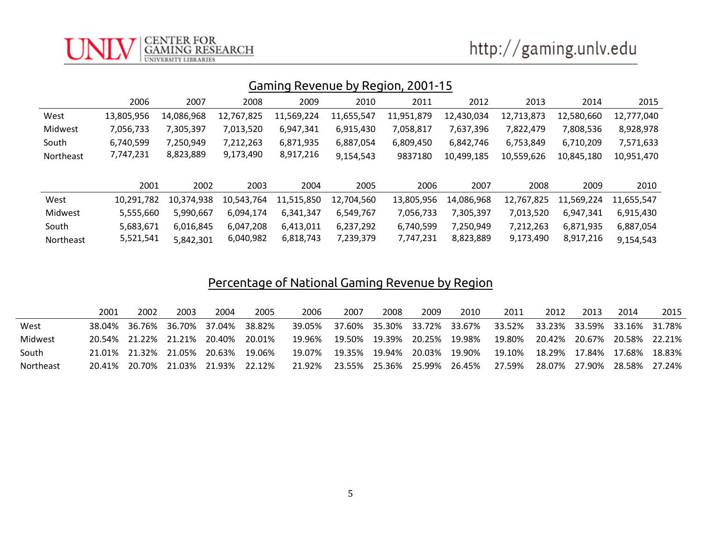#### CENTER FOR<br>GAMING RESEARCH **UNIVERSITY LIBRARIES**

# http://gaming.unlv.edu

### Gaming Revenue by Region, 2001-15

|           | 2006       | 2007       | 2008       | 2009       | 2010       | 2011       | 2012       | 2013       | 2014       | 2015       |
|-----------|------------|------------|------------|------------|------------|------------|------------|------------|------------|------------|
| West      | 13,805,956 | 14.086.968 | 12,767,825 | 11,569,224 | 11,655,547 | 11,951,879 | 12,430,034 | 12,713,873 | 12,580,660 | 12.777.040 |
| Midwest   | 7.056.733  | 7.305.397  | 7.013.520  | 6.947.341  | 6.915.430  | 7,058,817  | 7.637.396  | 7,822,479  | 7.808.536  | 8,928,978  |
| South     | 6,740,599  | 7,250,949  | 7,212,263  | 6,871,935  | 6,887,054  | 6,809,450  | 6.842.746  | 6,753,849  | 6.710.209  | 7,571,633  |
| Northeast | 7,747,231  | 8,823,889  | 9.173.490  | 8.917.216  | 9,154,543  | 9837180    | 10.499.185 | 10,559,626 | 10,845,180 | 10.951.470 |
|           |            |            |            |            |            |            |            |            |            |            |

|                  | 2001       | 2002       | 2003      | 2004                  | 2005       | 2006       | 2007       | 2008      | 2009                  | 2010       |
|------------------|------------|------------|-----------|-----------------------|------------|------------|------------|-----------|-----------------------|------------|
| West             | 10.291.782 | 10.374.938 |           | 10,543,764 11,515,850 | 12.704.560 | 13.805.956 | 14.086.968 |           | 12,767,825 11,569,224 | 11.655.547 |
| Midwest          | 5.555.660  | 5.990.667  | 6.094.174 | 6.341.347             | 6.549.767  | 7.056.733  | 7.305.397  | 7.013.520 | 6.947.341             | 6.915.430  |
| South            | 5.683.671  | 6.016.845  | 6.047.208 | 6.413.011             | 6.237.292  | 6.740.599  | 7.250.949  | 7.212.263 | 6,871,935             | 6.887.054  |
| <b>Northeast</b> | 5,521,541  | 5.842.301  | 6,040,982 | 6,818,743             | 7.239.379  | 7.747.231  | 8,823,889  | 9,173,490 | 8.917.216             | 9.154.543  |

# Percentage of National Gaming Revenue by Region

|           | 2001 | 2002          | 2003 | 2004                        | 2005   | 2006   | 2007 | 2008 | 2009                        | 2010                        | 2011                                                                  | 2012                        | 2013 | 2014                        | 2015 |
|-----------|------|---------------|------|-----------------------------|--------|--------|------|------|-----------------------------|-----------------------------|-----------------------------------------------------------------------|-----------------------------|------|-----------------------------|------|
| West      |      |               |      | 38.04% 36.76% 36.70% 37.04% | 38.82% |        |      |      |                             |                             | 39.05% 37.60% 35.30% 33.72% 33.67% 33.52% 33.23% 33.59% 33.16% 31.78% |                             |      |                             |      |
| Midwest   |      | 20.54% 21.22% |      | 21.21% 20.40%               | 20.01% | 19.96% |      |      | 19.50% 19.39% 20.25% 19.98% |                             | 19.80%                                                                | 20.42% 20.67% 20.58% 22.21% |      |                             |      |
| South     |      | 21.01% 21.32% |      | 21.05% 20.63%               | 19.06% | 19.07% |      |      | 19.35% 19.94% 20.03% 19.90% |                             | 19.10%                                                                | 18.29% 17.84% 17.68% 18.83% |      |                             |      |
| Northeast |      | 20.41% 20.70% |      | 21.03% 21.93%               | 22.12% | 21.92% |      |      |                             | 23.55% 25.36% 25.99% 26.45% | 27.59%                                                                |                             |      | 28.07% 27.90% 28.58% 27.24% |      |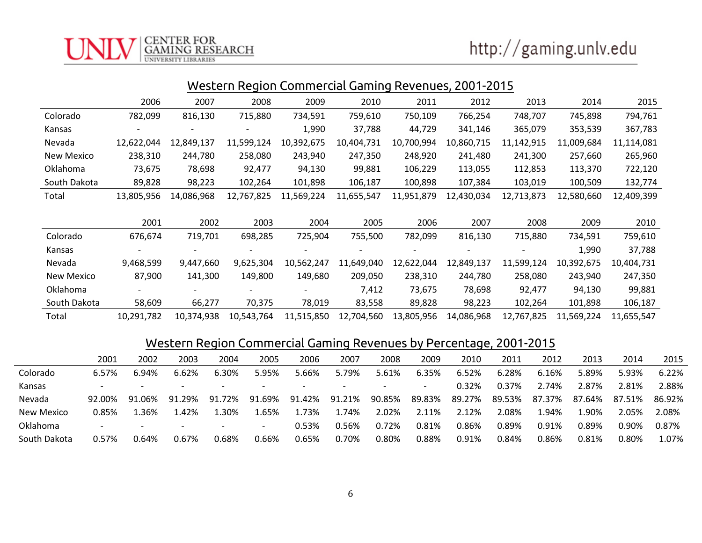|                   | Western Region Commercial Gaming Revenues, 2001-2015 |            |                          |            |            |            |            |            |            |            |  |  |  |
|-------------------|------------------------------------------------------|------------|--------------------------|------------|------------|------------|------------|------------|------------|------------|--|--|--|
|                   | 2006                                                 | 2007       | 2008                     | 2009       | 2010       | 2011       | 2012       | 2013       | 2014       | 2015       |  |  |  |
| Colorado          | 782,099                                              | 816,130    | 715,880                  | 734,591    | 759,610    | 750,109    | 766,254    | 748,707    | 745,898    | 794,761    |  |  |  |
| Kansas            |                                                      |            |                          | 1,990      | 37,788     | 44,729     | 341,146    | 365,079    | 353,539    | 367,783    |  |  |  |
| Nevada            | 12,622,044                                           | 12,849,137 | 11,599,124               | 10,392,675 | 10,404,731 | 10,700,994 | 10,860,715 | 11,142,915 | 11,009,684 | 11,114,081 |  |  |  |
| New Mexico        | 238,310                                              | 244,780    | 258,080                  | 243,940    | 247,350    | 248,920    | 241,480    | 241,300    | 257,660    | 265,960    |  |  |  |
| Oklahoma          | 73,675                                               | 78,698     | 92,477                   | 94,130     | 99,881     | 106,229    | 113,055    | 112,853    | 113,370    | 722,120    |  |  |  |
| South Dakota      | 89,828                                               | 98,223     | 102,264                  | 101,898    | 106,187    | 100,898    | 107,384    | 103,019    | 100,509    | 132,774    |  |  |  |
| Total             | 13,805,956                                           | 14,086,968 | 12,767,825               | 11,569,224 | 11,655,547 | 11,951,879 | 12,430,034 | 12,713,873 | 12,580,660 | 12,409,399 |  |  |  |
|                   |                                                      |            |                          |            |            |            |            |            |            |            |  |  |  |
|                   | 2001                                                 | 2002       | 2003                     | 2004       | 2005       | 2006       | 2007       | 2008       | 2009       | 2010       |  |  |  |
| Colorado          | 676,674                                              | 719,701    | 698,285                  | 725,904    | 755,500    | 782,099    | 816,130    | 715,880    | 734,591    | 759,610    |  |  |  |
| Kansas            |                                                      |            |                          |            |            |            |            |            | 1,990      | 37,788     |  |  |  |
| Nevada            | 9,468,599                                            | 9,447,660  | 9,625,304                | 10,562,247 | 11,649,040 | 12,622,044 | 12,849,137 | 11,599,124 | 10,392,675 | 10,404,731 |  |  |  |
| <b>New Mexico</b> | 87,900                                               | 141,300    | 149,800                  | 149,680    | 209,050    | 238,310    | 244,780    | 258,080    | 243,940    | 247,350    |  |  |  |
| Oklahoma          |                                                      |            | $\overline{\phantom{a}}$ |            | 7,412      | 73,675     | 78,698     | 92,477     | 94,130     | 99,881     |  |  |  |
| South Dakota      | 58,609                                               | 66,277     | 70,375                   | 78,019     | 83,558     | 89,828     | 98,223     | 102,264    | 101,898    | 106,187    |  |  |  |

Total 10,291,782 10,374,938 10,543,764 11,515,850 12,704,560 13,805,956 14,086,968 12,767,825 11,569,224 11,655,547

### Western Region Commercial Gaming Revenues by Percentage, 2001-2015

|              | 2001                     | 2002                     | 2003                     | 2004                     | 2005                     | 2006                     | 2007   | 2008   | 2009                     | 2010   | 2011   | 2012    | 2013   | 2014   | 2015   |
|--------------|--------------------------|--------------------------|--------------------------|--------------------------|--------------------------|--------------------------|--------|--------|--------------------------|--------|--------|---------|--------|--------|--------|
| Colorado     | 6.57%                    | $.94\%$                  | 6.62%                    | 6.30%                    | 5.95%                    | 5.66%                    | 5.79%  | 5.61%  | 6.35%                    | 6.52%  | 6.28%  | 6.16%   | 5.89%  | 5.93%  | 6.22%  |
| Kansas       | $\overline{\phantom{a}}$ | $\overline{\phantom{0}}$ | $\overline{\phantom{a}}$ | $\overline{\phantom{0}}$ | $\overline{\phantom{a}}$ | $\overline{\phantom{0}}$ |        |        | $\overline{\phantom{0}}$ | 0.32%  | 0.37%  | 2.74%   | 2.87%  | 2.81%  | 2.88%  |
| Nevada       | 92.00%                   | 91.06%                   | .29%<br>-91              | 91.72%                   | 91.69%                   | 91.42%                   | 91.21% | 90.85% | 89.83%                   | 89.27% | 89.53% | 87.37%  | 87.64% | 87.51% | 86.92% |
| New Mexico   | 0.85%                    | .36%                     | .42%                     | .30%                     | 1.65%                    | .73%                     | .74%   | 2.02%  | 2.11%                    | 2.12%  | 2.08%  | $.94\%$ | 1.90%  | 2.05%  | 2.08%  |
| Oklahoma     | <b>.</b>                 | $\overline{\phantom{0}}$ | $\overline{\phantom{0}}$ | $\overline{\phantom{0}}$ | $\overline{\phantom{a}}$ | 0.53%                    | 0.56%  | 0.72%  | 0.81%                    | 0.86%  | 0.89%  | 0.91%   | 0.89%  | 0.90%  | 0.87%  |
| South Dakota | 0.57%                    | .64%                     | 0.67%                    | 0.68%                    | 0.66%                    | 0.65%                    | 0.70%  | 0.80%  | 0.88%                    | 0.91%  | 0.84%  | 0.86%   | 0.81%  | 0.80%  | L.07%  |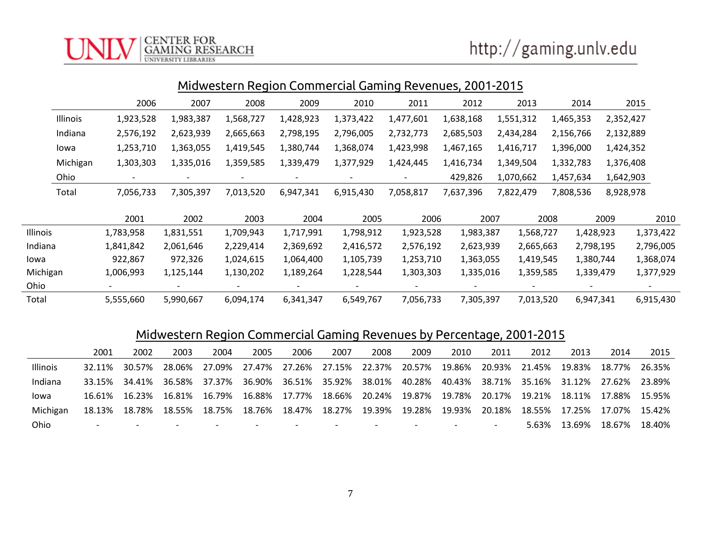# http://gaming.unlv.edu

|          | Midwestern Region Commercial Gaming Revenues, 2001-2015 |                          |                          |                          |                          |                          |           |           |           |           |           |           |  |  |
|----------|---------------------------------------------------------|--------------------------|--------------------------|--------------------------|--------------------------|--------------------------|-----------|-----------|-----------|-----------|-----------|-----------|--|--|
|          |                                                         | 2006                     | 2007                     | 2008                     | 2009                     | 2010                     | 2011      | 2012      | 2013      | 2014      |           | 2015      |  |  |
|          | Illinois                                                | 1,923,528                | 1,983,387                | 1,568,727                | 1,428,923                | 1,373,422                | 1,477,601 | 1,638,168 | 1,551,312 | 1,465,353 | 2,352,427 |           |  |  |
|          | Indiana                                                 | 2,576,192                | 2,623,939                | 2,665,663                | 2,798,195                | 2,796,005                | 2,732,773 | 2,685,503 | 2,434,284 | 2,156,766 | 2,132,889 |           |  |  |
|          | lowa                                                    | 1,253,710                | 1,363,055                | 1,419,545                | 1,380,744                | 1,368,074                | 1,423,998 | 1,467,165 | 1,416,717 | 1,396,000 | 1,424,352 |           |  |  |
|          | Michigan                                                | 1,303,303                | 1,335,016                | 1,359,585                | 1,339,479                | 1,377,929                | 1,424,445 | 1,416,734 | 1,349,504 | 1,332,783 | 1,376,408 |           |  |  |
|          | Ohio                                                    | $\overline{\phantom{a}}$ | $\overline{\phantom{a}}$ | $\overline{\phantom{a}}$ | $\overline{\phantom{a}}$ | $\overline{\phantom{a}}$ |           | 429,826   | 1,070,662 | 1,457,634 | 1,642,903 |           |  |  |
|          | Total                                                   | 7,056,733                | 7,305,397                | 7,013,520                | 6,947,341                | 6,915,430                | 7,058,817 | 7,637,396 | 7,822,479 | 7,808,536 | 8,928,978 |           |  |  |
|          |                                                         | 2001                     | 2002                     | 2003                     | 2004                     | 2005                     | 2006      |           | 2007      | 2008      | 2009      | 2010      |  |  |
| Illinois |                                                         | 1,783,958                | 1,831,551                | 1,709,943                | 1,717,991                | 1,798,912                | 1,923,528 | 1,983,387 | 1,568,727 |           | 1,428,923 | 1,373,422 |  |  |
| Indiana  |                                                         | 1,841,842                | 2,061,646                | 2,229,414                | 2,369,692                | 2,416,572                | 2,576,192 | 2,623,939 | 2,665,663 |           | 2,798,195 | 2,796,005 |  |  |
| lowa     |                                                         | 922,867                  | 972,326                  | 1,024,615                | 1,064,400                | 1,105,739                | 1,253,710 | 1,363,055 | 1,419,545 |           | 1,380,744 | 1,368,074 |  |  |
| Michigan |                                                         | 1,006,993                | 1,125,144                | 1,130,202                | 1,189,264                | 1,228,544                | 1,303,303 | 1,335,016 | 1,359,585 |           | 1,339,479 | 1,377,929 |  |  |
| Ohio     |                                                         | $\overline{\phantom{a}}$ |                          |                          |                          |                          |           |           |           |           |           |           |  |  |
| Total    |                                                         | 5,555,660                | 5,990,667                | 6,094,174                | 6,341,347                | 6,549,767                | 7,056,733 | 7,305,397 | 7,013,520 |           | 6,947,341 | 6,915,430 |  |  |

**CENTER FOR** 

**RESEARCH** 

### Midwestern Region Commercial Gaming Revenues by Percentage, 2001-2015

|          | 2001                     | 2002   | 2003                     | 2004                     | 2005                     | 2006                     | 2007   | 2008                     | 2009                     | 2010                     | 2011                     | 2012   | 2013   | 2014          | 2015    |
|----------|--------------------------|--------|--------------------------|--------------------------|--------------------------|--------------------------|--------|--------------------------|--------------------------|--------------------------|--------------------------|--------|--------|---------------|---------|
| Illinois | 32.11%                   | 30.57% |                          | 28.06% 27.09%            |                          | 27.47% 27.26%            |        |                          | 27.15% 22.37% 20.57%     | 19.86% 20.93%            |                          | 21.45% | 19.83% | 18.77%        | 26.35%  |
| Indiana  | 33.15%                   | 34.41% |                          | 36.58% 37.37%            |                          | 36.90% 36.51% 35.92%     |        | 38.01%                   | 40.28%                   |                          | 40.43% 38.71%            | 35.16% |        | 31.12% 27.62% | -23.89% |
| lowa     | 16.61%                   | 16.23% | 16.81%                   | 16.79%                   |                          | 16.88% 17.77%            | 18.66% |                          | 20.24% 19.87%            | 19.78% 20.17%            |                          | 19.21% | 18.11% | 17.88%        | 15.95%  |
| Michigan | 18.13%                   | 18.78% | 18.55%                   | 18.75%                   |                          | 18.76% 18.47%            | 18.27% |                          | 19.39% 19.28%            | 19.93%                   | 20.18%                   | 18.55% | 17.25% | 17.07%        | 15.42%  |
| Ohio     | $\overline{\phantom{0}}$ |        | $\overline{\phantom{0}}$ | $\overline{\phantom{0}}$ | $\overline{\phantom{0}}$ | $\overline{\phantom{0}}$ |        | $\overline{\phantom{0}}$ | $\overline{\phantom{0}}$ | $\overline{\phantom{0}}$ | $\overline{\phantom{0}}$ | 5.63%  | 13.69% | 18.67%        | 18.40%  |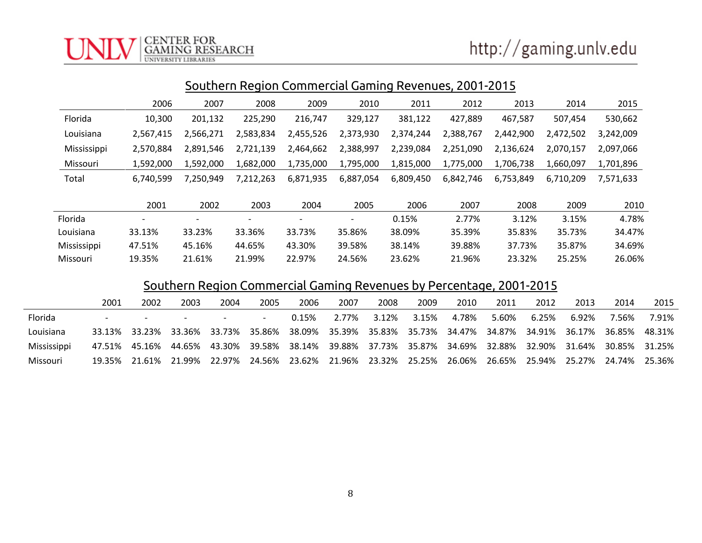| Southern Region Commercial Gaming Revenues, 2001-2015 |           |           |                              |                          |           |           |           |           |           |           |  |  |  |
|-------------------------------------------------------|-----------|-----------|------------------------------|--------------------------|-----------|-----------|-----------|-----------|-----------|-----------|--|--|--|
|                                                       | 2006      | 2007      | 2008                         | 2009                     | 2010      | 2011      | 2012      | 2013      | 2014      | 2015      |  |  |  |
| Florida                                               | 10,300    | 201,132   | 225,290                      | 216,747                  | 329,127   | 381,122   | 427,889   | 467,587   | 507,454   | 530,662   |  |  |  |
| Louisiana                                             | 2,567,415 | 2,566,271 | 2,583,834                    | 2,455,526                | 2,373,930 | 2,374,244 | 2,388,767 | 2,442,900 | 2,472,502 | 3,242,009 |  |  |  |
| Mississippi                                           | 2,570,884 | 2,891,546 | 2,721,139                    | 2,464,662                | 2,388,997 | 2,239,084 | 2,251,090 | 2,136,624 | 2,070,157 | 2,097,066 |  |  |  |
| Missouri                                              | 1,592,000 | 1,592,000 | 1,682,000                    | 1,735,000                | 1,795,000 | 1,815,000 | 1,775,000 | 1,706,738 | 1,660,097 | 1,701,896 |  |  |  |
| Total                                                 | 6,740,599 | 7,250,949 | 7,212,263                    | 6,871,935                | 6,887,054 | 6,809,450 | 6,842,746 | 6,753,849 | 6,710,209 | 7,571,633 |  |  |  |
|                                                       | 2001      | 2002      | 2003                         | 2004                     | 2005      | 2006      | 2007      | 2008      | 2009      | 2010      |  |  |  |
| Florida                                               | -         |           | $\qquad \qquad \blacksquare$ | $\overline{\phantom{0}}$ |           | 0.15%     | 2.77%     | 3.12%     | 3.15%     | 4.78%     |  |  |  |
| Louisiana                                             | 33.13%    | 33.23%    | 33.36%                       | 33.73%                   | 35.86%    | 38.09%    | 35.39%    | 35.83%    | 35.73%    | 34.47%    |  |  |  |
| Mississippi                                           | 47.51%    | 45.16%    | 44.65%                       | 43.30%                   | 39.58%    | 38.14%    | 39.88%    | 37.73%    | 35.87%    | 34.69%    |  |  |  |
| Missouri                                              | 19.35%    | 21.61%    | 21.99%                       | 22.97%                   | 24.56%    | 23.62%    | 21.96%    | 23.32%    | 25.25%    | 26.06%    |  |  |  |

#### Southern Region Commercial Gaming Revenues by Percentage, 2001-2015

|             | 2001                     | 2002   | 2003                     | 2004                                                                                                     | 2005                     | 2006                                                    | 2007  | 2008  | 2009  | 2010  | 2011  | 2012  | 2013  | 2014                 | 2015   |
|-------------|--------------------------|--------|--------------------------|----------------------------------------------------------------------------------------------------------|--------------------------|---------------------------------------------------------|-------|-------|-------|-------|-------|-------|-------|----------------------|--------|
| Florida     | $\overline{\phantom{0}}$ |        | $\overline{\phantom{a}}$ |                                                                                                          | $\overline{\phantom{0}}$ | 0.15%                                                   | 2.77% | 3.12% | 3.15% | 4.78% | 5.60% | 6.25% | 6.92% | 7.56%                | 7.91%  |
| Louisiana   |                          |        |                          | 33.13% 33.23% 33.36% 33.73% 35.86% 38.09% 35.39% 35.83% 35.73% 34.47% 34.87% 34.91% 36.17% 36.85%        |                          |                                                         |       |       |       |       |       |       |       |                      | 48.31% |
| Mississippi |                          |        |                          | 47.51% 45.16% 44.65% 43.30% 39.58% 38.14% 39.88% 37.73% 35.87% 34.69% 32.88% 32.90% 31.64% 30.85% 31.25% |                          |                                                         |       |       |       |       |       |       |       |                      |        |
| Missouri    | 19.35%                   | 21.61% |                          | 21.99% 22.97%                                                                                            |                          | 24.56% 23.62% 21.96% 23.32% 25.25% 26.06% 26.65% 25.94% |       |       |       |       |       |       |       | 25.27% 24.74% 25.36% |        |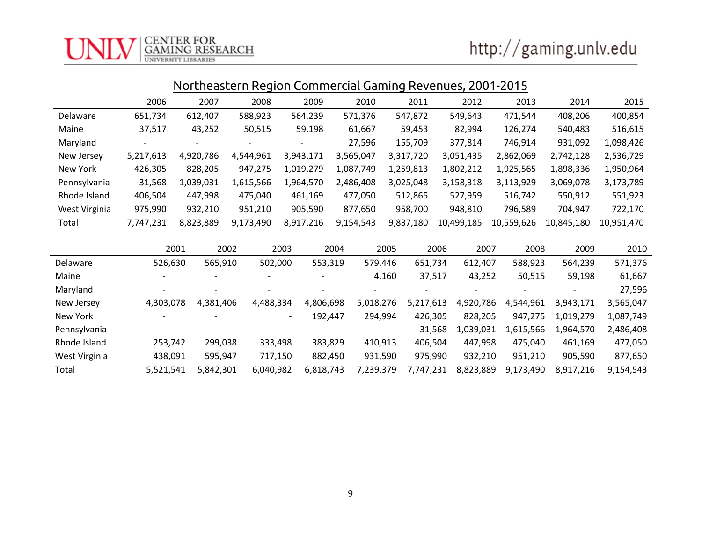|                 |           | ivoitiiedstelli Regioli Collillei tidi udillilig Reveliues, ZUV i "ZUTJ |           |           |           |           |            |            |            |            |  |  |
|-----------------|-----------|-------------------------------------------------------------------------|-----------|-----------|-----------|-----------|------------|------------|------------|------------|--|--|
|                 | 2006      | 2007                                                                    | 2008      | 2009      | 2010      | 2011      | 2012       | 2013       | 2014       | 2015       |  |  |
| <b>Delaware</b> | 651,734   | 612,407                                                                 | 588,923   | 564,239   | 571,376   | 547,872   | 549,643    | 471,544    | 408,206    | 400,854    |  |  |
| Maine           | 37,517    | 43,252                                                                  | 50,515    | 59,198    | 61,667    | 59,453    | 82,994     | 126,274    | 540,483    | 516,615    |  |  |
| Maryland        |           |                                                                         |           |           | 27,596    | 155,709   | 377,814    | 746,914    | 931,092    | 1,098,426  |  |  |
| New Jersey      | 5,217,613 | 4,920,786                                                               | 4,544,961 | 3,943,171 | 3,565,047 | 3,317,720 | 3,051,435  | 2,862,069  | 2,742,128  | 2,536,729  |  |  |
| New York        | 426,305   | 828,205                                                                 | 947,275   | 1,019,279 | 1,087,749 | 1,259,813 | 1,802,212  | 1,925,565  | 1,898,336  | 1,950,964  |  |  |
| Pennsylvania    | 31,568    | 1,039,031                                                               | 1,615,566 | 1,964,570 | 2,486,408 | 3,025,048 | 3,158,318  | 3,113,929  | 3,069,078  | 3,173,789  |  |  |
| Rhode Island    | 406,504   | 447,998                                                                 | 475,040   | 461,169   | 477,050   | 512,865   | 527,959    | 516,742    | 550,912    | 551,923    |  |  |
| West Virginia   | 975,990   | 932,210                                                                 | 951,210   | 905,590   | 877,650   | 958,700   | 948,810    | 796,589    | 704,947    | 722,170    |  |  |
| Total           | 7,747,231 | 8,823,889                                                               | 9,173,490 | 8,917,216 | 9,154,543 | 9,837,180 | 10,499,185 | 10,559,626 | 10,845,180 | 10,951,470 |  |  |

Northeastern Region Commercial Gaming Revenues, 2001-2015

|               | 2001      | 2002                     | 2003                     | 2004      | 2005      | 2006      | 2007      | 2008      | 2009      | 2010      |
|---------------|-----------|--------------------------|--------------------------|-----------|-----------|-----------|-----------|-----------|-----------|-----------|
| Delaware      | 526,630   | 565,910                  | 502,000                  | 553,319   | 579,446   | 651,734   | 612,407   | 588,923   | 564,239   | 571,376   |
| Maine         |           | $\overline{\phantom{a}}$ |                          |           | 4,160     | 37,517    | 43,252    | 50,515    | 59,198    | 61,667    |
| Maryland      |           | $\overline{\phantom{a}}$ |                          |           |           |           |           |           |           | 27,596    |
| New Jersey    | 4,303,078 | 4,381,406                | 4,488,334                | 4,806,698 | 5,018,276 | 5,217,613 | 4,920,786 | 4,544,961 | 3,943,171 | 3,565,047 |
| New York      |           | $\overline{\phantom{0}}$ | $\overline{\phantom{a}}$ | 192,447   | 294,994   | 426,305   | 828,205   | 947,275   | 1,019,279 | 1,087,749 |
| Pennsylvania  |           | $\overline{\phantom{a}}$ |                          |           |           | 31,568    | 1,039,031 | 1,615,566 | 1,964,570 | 2,486,408 |
| Rhode Island  | 253,742   | 299,038                  | 333,498                  | 383,829   | 410,913   | 406,504   | 447,998   | 475,040   | 461,169   | 477,050   |
| West Virginia | 438,091   | 595,947                  | 717,150                  | 882,450   | 931,590   | 975,990   | 932,210   | 951,210   | 905,590   | 877,650   |
| Total         | 5,521,541 | 5,842,301                | 6,040,982                | 6,818,743 | 7,239,379 | 7,747,231 | 8,823,889 | 9,173,490 | 8,917,216 | 9,154,543 |